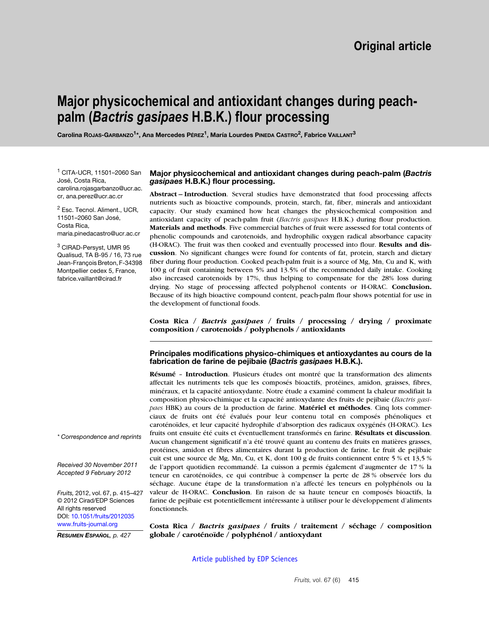# **Major physicochemical and antioxidant changes during peachpalm (***Bactris gasipaes* **H.B.K.) flour processing**

**Carolina ROJAS-GARBANZO1\*, Ana Mercedes PÉREZ1, María Lourdes PINEDA CASTRO2, Fabrice VAILLANT3**

<sup>1</sup> CITA-UCR, 11501–2060 San José, Costa Rica, carolina.rojasgarbanzo@ucr.ac. cr, ana.perez@ucr.ac.cr

<sup>2</sup> Esc. Tecnol. Aliment., UCR, 11501–2060 San José, Costa Rica, maria.pinedacastro@ucr.ac.cr

<sup>3</sup> CIRAD-Persyst, UMR 95 Qualisud, TA B-95 / 16, 73 rue Jean-François Breton, F-34398 Montpellier cedex 5, France, fabrice.vaillant@cirad.fr

#### **Major physicochemical and antioxidant changes during peach-palm (***Bactris gasipaes* **H.B.K.) flour processing.**

**Abstract – Introduction**. Several studies have demonstrated that food processing affects nutrients such as bioactive compounds, protein, starch, fat, fiber, minerals and antioxidant capacity. Our study examined how heat changes the physicochemical composition and antioxidant capacity of peach-palm fruit (*Bactris gasipaes* H.B.K.) during flour production. **Materials and methods**. Five commercial batches of fruit were assessed for total contents of phenolic compounds and carotenoids, and hydrophilic oxygen radical absorbance capacity (H-ORAC). The fruit was then cooked and eventually processed into flour. **Results and discussion**. No significant changes were found for contents of fat, protein, starch and dietary fiber during flour production. Cooked peach-palm fruit is a source of Mg, Mn, Cu and K, with 100 g of fruit containing between 5% and 13.5% of the recommended daily intake. Cooking also increased carotenoids by 17%, thus helping to compensate for the 28% loss during drying. No stage of processing affected polyphenol contents or H-ORAC. **Conclusion.** Because of its high bioactive compound content, peach-palm flour shows potential for use in the development of functional foods.

**Costa Rica /** *Bactris gasipaes* **/ fruits / processing / drying / proximate composition / carotenoids / polyphenols / antioxidants**

## **Principales modifications physico-chimiques et antioxydantes au cours de la fabrication de farine de pejibaie (***Bactris gasipaes* **H.B.K.).**

**Résumé** – **Introduction**. Plusieurs études ont montré que la transformation des aliments affectait les nutriments tels que les composés bioactifs, protéines, amidon, graisses, fibres, minéraux, et la capacité antioxydante. Notre étude a examiné comment la chaleur modifiait la composition physico-chimique et la capacité antioxydante des fruits de pejibaie (*Bactris gasipaes* HBK) au cours de la production de farine. **Matériel et méthodes**. Cinq lots commerciaux de fruits ont été évalués pour leur contenu total en composés phénoliques et caroténoïdes, et leur capacité hydrophile d'absorption des radicaux oxygénés (H-ORAC). Les fruits ont ensuite été cuits et éventuellement transformés en farine. **Résultats et discussion**. Aucun changement significatif n'a été trouvé quant au contenu des fruits en matières grasses, protéines, amidon et fibres alimentaires durant la production de farine. Le fruit de pejibaie cuit est une source de Mg, Mn, Cu, et K, dont 100 g de fruits contiennent entre 5 % et 13,5 % de l'apport quotidien recommandé. La cuisson a permis également d'augmenter de 17 % la teneur en caroténoïdes, ce qui contribue à compenser la perte de 28 % observée lors du séchage. Aucune étape de la transformation n'a affecté les teneurs en polyphénols ou la valeur de H-ORAC. **Conclusion**. En raison de sa haute teneur en composés bioactifs, la farine de pejibaie est potentiellement intéressante à utiliser pour le développement d'aliments fonctionnels.

*\* Correspondence and reprints*

*Received 30 November 2011 Accepted 9 February 2012*

*Fruits,* 2012, vol. 67, p. 415–427 © 2012 Cirad/EDP Sciences All rights reserved DOI: [10.1051/fruits/2012035](http://dx.doi.org/10.1051/mbcb/2012035) www.fruits-journal.org

*RESUMEN ESPAÑOL, p. 427*

**Costa Rica /** *Bactris gasipaes* **/ fruits / traitement / séchage / composition globale / caroténoïde / polyphénol / antioxydant**

[Article published by EDP Sciences](http://publications.edpsciences.org)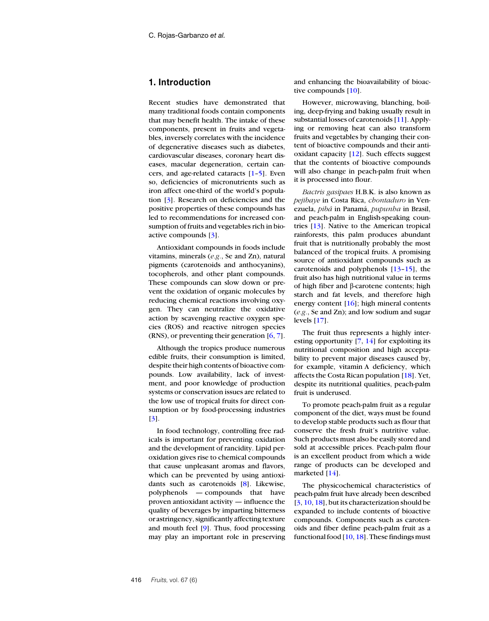# **1. Introduction**

Recent studies have demonstrated that many traditional foods contain components that may benefit health. The intake of these components, present in fruits and vegetables, inversely correlates with the incidence of degenerative diseases such as diabetes, cardiovascular diseases, coronary heart diseases, macular degeneration, certain cancers, and age-related cataracts [[1](#page-10-0)–[5](#page-10-1)]. Even so, deficiencies of micronutrients such as iron affect one-third of the world's population [[3](#page-10-2)]. Research on deficiencies and the positive properties of these compounds has led to recommendations for increased consumption of fruits and vegetables rich in bioactive compounds [\[3](#page-10-2)].

Antioxidant compounds in foods include vitamins, minerals (*e.g.*, Se and Zn), natural pigments (carotenoids and anthocyanins), tocopherols, and other plant compounds. These compounds can slow down or prevent the oxidation of organic molecules by reducing chemical reactions involving oxygen. They can neutralize the oxidative action by scavenging reactive oxygen species (ROS) and reactive nitrogen species (RNS), or preventing their generation [\[6](#page-10-3), [7](#page-10-4)].

Although the tropics produce numerous edible fruits, their consumption is limited, despite their high contents of bioactive compounds. Low availability, lack of investment, and poor knowledge of production systems or conservation issues are related to the low use of tropical fruits for direct consumption or by food-processing industries [[3](#page-10-2)].

In food technology, controlling free radicals is important for preventing oxidation and the development of rancidity. Lipid peroxidation gives rise to chemical compounds that cause unpleasant aromas and flavors, which can be prevented by using antioxidants such as carotenoids [[8\]](#page-10-5). Likewise, polyphenols — compounds that have proven antioxidant activity — influence the quality of beverages by imparting bitterness or astringency, significantly affecting texture and mouth feel [\[9](#page-10-6)]. Thus, food processing may play an important role in preserving and enhancing the bioavailability of bioactive compounds [[10\]](#page-10-7).

However, microwaving, blanching, boiling, deep-frying and baking usually result in substantial losses of carotenoids [\[11\]](#page-10-8). Applying or removing heat can also transform fruits and vegetables by changing their content of bioactive compounds and their antioxidant capacity [\[12\]](#page-10-9). Such effects suggest that the contents of bioactive compounds will also change in peach-palm fruit when it is processed into flour.

*Bactris gasipaes* H.B.K. is also known as *pejibaye* in Costa Rica, *chontaduro* in Venezuela, *pibá* in Panamá, *pupunha* in Brasil, and peach-palm in English-speaking countries [[13\]](#page-10-10). Native to the American tropical rainforests, this palm produces abundant fruit that is nutritionally probably the most balanced of the tropical fruits. A promising source of antioxidant compounds such as carotenoids and polyphenols [\[13–](#page-10-10)[15\]](#page-10-11), the fruit also has high nutritional value in terms of high fiber and β-carotene contents; high starch and fat levels, and therefore high energy content [\[16\]](#page-10-12); high mineral contents (*e.g.*, Se and Zn); and low sodium and sugar levels [\[17](#page-10-13)].

The fruit thus represents a highly interesting opportunity  $[7, 14]$  $[7, 14]$  $[7, 14]$  $[7, 14]$  for exploiting its nutritional composition and high acceptability to prevent major diseases caused by, for example, vitamin A deficiency, which affects the Costa Rican population [[18\]](#page-10-15). Yet, despite its nutritional qualities, peach-palm fruit is underused.

To promote peach-palm fruit as a regular component of the diet, ways must be found to develop stable products such as flour that conserve the fresh fruit's nutritive value. Such products must also be easily stored and sold at accessible prices. Peach-palm flour is an excellent product from which a wide range of products can be developed and marketed [\[14\]](#page-10-14).

The physicochemical characteristics of peach-palm fruit have already been described [[3,](#page-10-2) [10,](#page-10-7) [18\]](#page-10-15), but its characterization should be expanded to include contents of bioactive compounds. Components such as carotenoids and fiber define peach-palm fruit as a functional food  $[10, 18]$  $[10, 18]$  $[10, 18]$  $[10, 18]$ . These findings must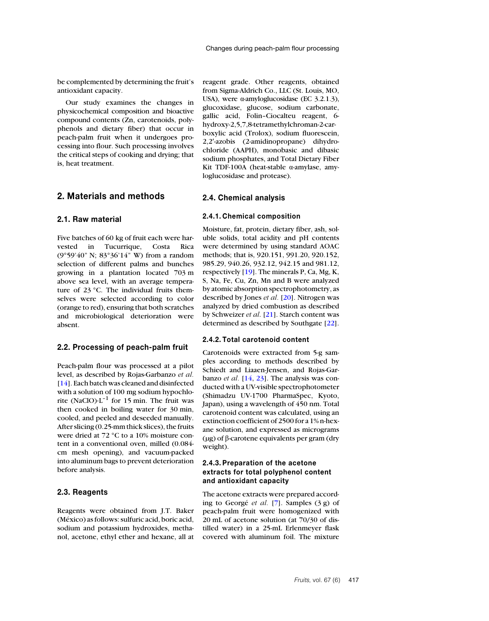be complemented by determining the fruit's antioxidant capacity.

Our study examines the changes in physicochemical composition and bioactive compound contents (Zn, carotenoids, polyphenols and dietary fiber) that occur in peach-palm fruit when it undergoes processing into flour. Such processing involves the critical steps of cooking and drying; that is, heat treatment.

# **2. Materials and methods**

#### **2.1. Raw material**

Five batches of 60 kg of fruit each were harvested in Tucurrique, Costa Rica (9°59'40" N; 83°36'14" W) from a random selection of different palms and bunches growing in a plantation located 703 m above sea level, with an average temperature of 23 °C. The individual fruits themselves were selected according to color (orange to red), ensuring that both scratches and microbiological deterioration were absent.

### **2.2. Processing of peach-palm fruit**

Peach-palm flour was processed at a pilot level, as described by Rojas-Garbanzo *et al.* [\[14\]](#page-10-14). Each batch was cleaned and disinfected with a solution of 100 mg sodium hypochlorite (NaClO) $\cdot$ L<sup>-1</sup> for 15 min. The fruit was then cooked in boiling water for 30 min, cooled, and peeled and deseeded manually. After slicing (0.25-mm thick slices), the fruits were dried at 72 °C to a 10% moisture content in a conventional oven, milled (0.084 cm mesh opening), and vacuum-packed into aluminum bags to prevent deterioration before analysis.

#### **2.3. Reagents**

Reagents were obtained from J.T. Baker (México) as follows: sulfuric acid, boric acid, sodium and potassium hydroxides, methanol, acetone, ethyl ether and hexane, all at reagent grade. Other reagents, obtained from Sigma-Aldrich Co., LLC (St. Louis, MO, USA), were α-amyloglucosidase (EC 3.2.1.3), glucoxidase, glucose, sodium carbonate, gallic acid, Folin–Ciocalteu reagent, 6 hydroxy-2,5,7,8-tetramethylchroman-2-carboxylic acid (Trolox), sodium fluorescein, 2,2′-azobis (2-amidinopropane) dihydrochloride (AAPH), monobasic and dibasic sodium phosphates, and Total Dietary Fiber Kit TDF-100A (heat-stable α-amylase, amyloglucosidase and protease).

#### **2.4. Chemical analysis**

#### **2.4.1. Chemical composition**

Moisture, fat, protein, dietary fiber, ash, soluble solids, total acidity and pH contents were determined by using standard AOAC methods; that is, 920.151, 991.20, 920.152, 985.29, 940.26, 932.12, 942.15 and 981.12, respectively [[19\]](#page-10-16). The minerals P, Ca, Mg, K, S, Na, Fe, Cu, Zn, Mn and B were analyzed by atomic absorption spectrophotometry, as described by Jones *et al.* [\[20\]](#page-10-17). Nitrogen was analyzed by dried combustion as described by Schweizer *et al*. [[21\]](#page-10-18). Starch content was determined as described by Southgate [[22\]](#page-11-0).

#### **2.4.2. Total carotenoid content**

Carotenoids were extracted from 5-g samples according to methods described by Schiedt and Liaaen-Jensen, and Rojas-Garbanzo *et al.* [\[14,](#page-10-14) [23\]](#page-11-1). The analysis was conducted with a UV-visible spectrophotometer (Shimadzu UV-1700 PharmaSpec, Kyoto, Japan), using a wavelength of 450 nm. Total carotenoid content was calculated, using an extinction coefficient of 2500 for a 1% n-hexane solution, and expressed as micrograms (µg) of β-carotene equivalents per gram (dry weight).

# **2.4.3. Preparation of the acetone extracts for total polyphenol content and antioxidant capacity**

The acetone extracts were prepared according to Georgé *et al.* [[7\]](#page-10-4). Samples (3 g) of peach-palm fruit were homogenized with 20 mL of acetone solution (at 70/30 of distilled water) in a 25-mL Erlenmeyer flask covered with aluminum foil. The mixture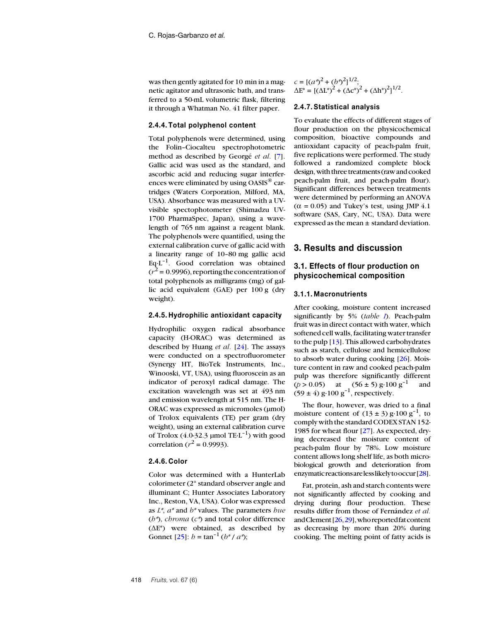was then gently agitated for 10 min in a magnetic agitator and ultrasonic bath, and transferred to a 50-mL volumetric flask, filtering it through a Whatman No. 41 filter paper.

#### **2.4.4. Total polyphenol content**

Total polyphenols were determined, using the Folin–Ciocalteu spectrophotometric method as described by Georgé *et al.* [\[7\]](#page-10-4). Gallic acid was used as the standard, and ascorbic acid and reducing sugar interferences were eliminated by using OASIS® cartridges (Waters Corporation, Milford, MA, USA). Absorbance was measured with a UVvisible spectophotometer (Shimadzu UV-1700 PharmaSpec, Japan), using a wavelength of 765 nm against a reagent blank. The polyphenols were quantified, using the external calibration curve of gallic acid with a linearity range of 10–80 mg gallic acid Eq $\cdot$ L<sup>-1</sup>. Good correlation was obtained  $(r^2 = 0.9996)$ , reporting the concentration of total polyphenols as milligrams (mg) of gallic acid equivalent (GAE) per 100 g (dry weight).

#### **2.4.5. Hydrophilic antioxidant capacity**

Hydrophilic oxygen radical absorbance capacity (H-ORAC) was determined as described by Huang *et al.* [[24\]](#page-11-2). The assays were conducted on a spectrofluorometer (Synergy HT, BioTek Instruments, Inc., Winooski, VT, USA), using fluoroscein as an indicator of peroxyl radical damage. The excitation wavelength was set at 493 nm and emission wavelength at 515 nm. The H-ORAC was expressed as micromoles (µmol) of Trolox equivalents (TE) per gram (dry weight), using an external calibration curve of Trolox  $(4.0-32.3 \mu \text{mol} \text{TE-L}^{-1})$  with good correlation ( $r^2$  = 0.9993).

#### **2.4.6. Color**

Color was determined with a HunterLab colorimeter (2° standard observer angle and illuminant C; Hunter Associates Laboratory Inc., Reston, VA, USA). Color was expressed as *L\**, *a\** and *b\** values. The parameters *hue* (*h\**), *chroma* (*c\**) and total color difference (ΔE\*) were obtained, as described by Gonnet  $[25]$  $[25]$ :  $b = \tan^{-1}(b^*/a^*)$ ;

 $c = [(a^*)^2 + (b^*)^2]^{1/2};$  $\Delta E^* = [(\Delta L^*)^2 + (\Delta c^*)^2 + (\Delta h^*)^2]^{1/2}.$ 

#### **2.4.7. Statistical analysis**

To evaluate the effects of different stages of flour production on the physicochemical composition, bioactive compounds and antioxidant capacity of peach-palm fruit, five replications were performed. The study followed a randomized complete block design, with three treatments (raw and cooked peach-palm fruit, and peach-palm flour). Significant differences between treatments were determined by performing an ANOVA  $(\alpha = 0.05)$  and Tukey's test, using JMP 4.1 software (SAS, Cary, NC, USA). Data were expressed as the mean ± standard deviation.

## **3. Results and discussion**

# **3.1. Effects of flour production on physicochemical composition**

#### **3.1.1. Macronutrients**

After cooking, moisture content increased significantly by 5% (*table [I](#page-4-0)*). Peach-palm fruit was in direct contact with water, which softened cell walls, facilitating water transfer to the pulp [[13\]](#page-10-10). This allowed carbohydrates such as starch, cellulose and hemicellulose to absorb water during cooking [\[26\]](#page-11-4). Moisture content in raw and cooked peach-palm pulp was therefore significantly different ( $p > 0.05$ ) at (56 ± 5) g·100 g<sup>-1</sup> and  $(59 \pm 4)$  g·100 g<sup>-1</sup>, respectively.

The flour, however, was dried to a final moisture content of  $(13 \pm 3)$  g·100 g<sup>-1</sup>, to comply with the standard CODEX STAN 152- 1985 for wheat flour [[27\]](#page-11-5). As expected, drying decreased the moisture content of peach-palm flour by 78%. Low moisture content allows long shelf life, as both microbiological growth and deterioration from enzymaticreactionsarelesslikelytooccur[\[28\]](#page-11-6).

Fat, protein, ash and starch contents were not significantly affected by cooking and drying during flour production. These results differ from those of Fernández *et al.* andClement[[26](#page-11-4),[29\]](#page-11-7),whoreported fatcontent as decreasing by more than 20% during cooking. The melting point of fatty acids is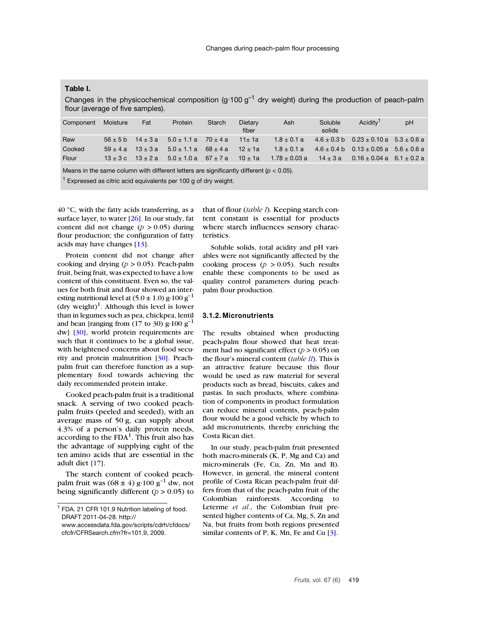## <span id="page-4-0"></span>**Table I.**

Changes in the physicochemical composition (g·100  $g^{-1}$  dry weight) during the production of peach-palm flour (average of five samples).

| Component | Moisture  | Fat                       | Protein                      | Starch      | <b>Dietary</b><br>fiber | Ash               | Soluble<br>solids | Acidity <sup>1</sup>                              | pH |
|-----------|-----------|---------------------------|------------------------------|-------------|-------------------------|-------------------|-------------------|---------------------------------------------------|----|
| Raw       |           | $56 \pm 5$ b $14 \pm 3$ a | $5.0 \pm 1.1 a$ 70 $\pm 4 a$ |             | $11 \pm 1a$             | $1.8 \pm 0.1 a$   |                   | $4.6 \pm 0.3$ b $0.23 \pm 0.10$ a $5.3 \pm 0.6$ a |    |
| Cooked    | $59 + 4a$ | $13 \pm 3a$               | $5.0 \pm 1.1 a$              | $68 \pm 4a$ | $12 \pm 1a$             | $1.8 \pm 0.1 a$   |                   | $4.6 \pm 0.4$ b $0.13 \pm 0.05$ a $5.6 \pm 0.6$ a |    |
| Flour     | $13 + 3c$ | $13 \pm 2a$               | $5.0 \pm 1.0 a$ 67 $\pm$ 7 a |             | $10 \pm 1a$             | $1.78 \pm 0.03$ a | $14 \pm 3a$       | $0.16 \pm 0.04$ a $6.1 \pm 0.2$ a                 |    |
|           |           |                           |                              |             |                         |                   |                   |                                                   |    |

Means in the same column with different letters are significantly different (*p* < 0.05).

 $1$  Expressed as citric acid equivalents per 100 g of dry weight.

 $40^{\circ}$ C, with the fatty acids transferring, as a surface layer, to water  $[26]$ . In our study, fat content did not change  $(p > 0.05)$  during flour production; the configuration of fatty acids may have changes [[13\]](#page-10-10).

Protein content did not change after cooking and drying ( $p > 0.05$ ). Peach-palm fruit, being fruit, was expected to have a low content of this constituent. Even so, the values for both fruit and flour showed an interesting nutritional level at  $(5.0 \pm 1.0)$  g·100 g<sup>-1</sup> (dry weight)<sup>1</sup>. Although this level is lower than in legumes such as pea, chickpea, lentil and bean [ranging from (17 to 30)  $g \cdot 100$   $g^{-1}$ dw] [\[30\]](#page-11-8), world protein requirements are such that it continues to be a global issue, with heightened concerns about food security and protein malnutrition [[30\]](#page-11-8). Peachpalm fruit can therefore function as a supplementary food towards achieving the daily recommended protein intake.

Cooked peach-palm fruit is a traditional snack. A serving of two cooked peachpalm fruits (peeled and seeded), with an average mass of 50 g, can supply about 4.3% of a person's daily protein needs, according to the  $FDA<sup>1</sup>$ . This fruit also has the advantage of supplying eight of the ten amino acids that are essential in the adult diet [[17\]](#page-10-13).

The starch content of cooked peachpalm fruit was  $(68 \pm 4)$  g·100 g<sup>-1</sup> dw, not being significantly different ( $p > 0.05$ ) to that of flour (*table [I](#page-4-0)*). Keeping starch content constant is essential for products where starch influences sensory characteristics.

Soluble solids, total acidity and pH variables were not significantly affected by the cooking process ( $p > 0.05$ ). Such results enable these components to be used as quality control parameters during peachpalm flour production.

#### **3.1.2. Micronutrients**

The results obtained when producting peach-palm flour showed that heat treatment had no significant effect  $(p > 0.05)$  on the flour's mineral content (*table [II](#page-5-0)*). This is an attractive feature because this flour would be used as raw material for several products such as bread, biscuits, cakes and pastas. In such products, where combination of components in product formulation can reduce mineral contents, peach-palm flour would be a good vehicle by which to add micronutrients, thereby enriching the Costa Rican diet.

In our study, peach-palm fruit presented both macro-minerals (K, P, Mg and Ca) and micro-minerals (Fe, Cu, Zn, Mn and B). However, in general, the mineral content profile of Costa Rican peach-palm fruit differs from that of the peach-palm fruit of the Colombian rainforests. According to Leterme *et al.*, the Colombian fruit presented higher contents of Ca, Mg, S, Zn and Na, but fruits from both regions presented similar contents of P, K, Mn, Fe and Cu [\[3\]](#page-10-2).

<sup>&</sup>lt;sup>1</sup> FDA. 21 CFR 101.9 Nutrition labeling of food. DRAFT 2011-04-28. http:// www.accessdata.fda.gov/scripts/cdrh/cfdocs/ cfcfr/CFRSearch.cfm?fr=101.9, 2009.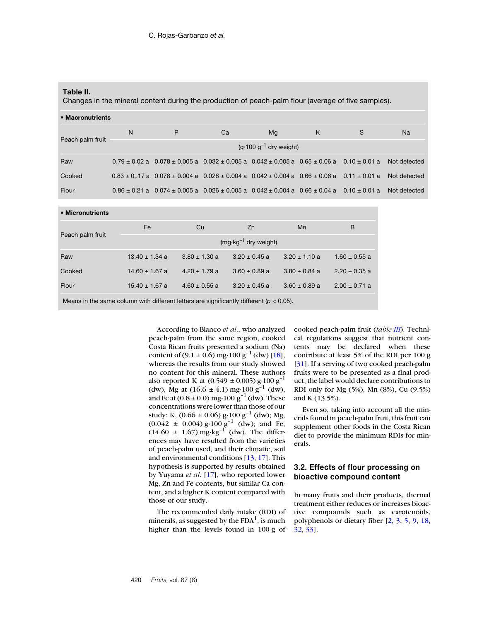#### <span id="page-5-0"></span>**Table II.**

Changes in the mineral content during the production of peach-palm flour (average of five samples).

| • Macronutrients |                             |                                                                                                                                |    |    |   |   |           |  |  |  |
|------------------|-----------------------------|--------------------------------------------------------------------------------------------------------------------------------|----|----|---|---|-----------|--|--|--|
| Peach palm fruit | N                           | P                                                                                                                              | Ca | Mg | K | S | <b>Na</b> |  |  |  |
|                  | $(g.100 g^{-1}$ dry weight) |                                                                                                                                |    |    |   |   |           |  |  |  |
| Raw              |                             | $0.79 \pm 0.02$ a $0.078 \pm 0.005$ a $0.032 \pm 0.005$ a $0.042 \pm 0.005$ a $0.65 \pm 0.06$ a $0.10 \pm 0.01$ a Not detected |    |    |   |   |           |  |  |  |
| Cooked           |                             | $0.83 \pm 0.17$ a $0.078 \pm 0.004$ a $0.028 \pm 0.004$ a $0.042 \pm 0.004$ a $0.66 \pm 0.06$ a $0.11 \pm 0.01$ a Not detected |    |    |   |   |           |  |  |  |
| Flour            |                             | $0.86 \pm 0.21$ a $0.074 \pm 0.005$ a $0.026 \pm 0.005$ a $0.042 \pm 0.004$ a $0.66 \pm 0.04$ a $0.10 \pm 0.01$ a Not detected |    |    |   |   |           |  |  |  |

#### • **Micronutrients**

|                  | Fe                              | Cu                | Zn                | Mn                | B                 |  |  |  |  |  |
|------------------|---------------------------------|-------------------|-------------------|-------------------|-------------------|--|--|--|--|--|
| Peach palm fruit | $(mg \cdot kg^{-1}$ dry weight) |                   |                   |                   |                   |  |  |  |  |  |
| Raw              | $13.40 \pm 1.34$ a              | $3.80 \pm 1.30$ a | $3.20 \pm 0.45$ a | $3.20 \pm 1.10$ a | $1.60 \pm 0.55$ a |  |  |  |  |  |
| Cooked           | $14.60 \pm 1.67$ a              | $4.20 \pm 1.79$ a | $3.60 \pm 0.89$ a | $3.80 \pm 0.84$ a | $2.20 \pm 0.35$ a |  |  |  |  |  |
| Flour            | $15.40 \pm 1.67$ a              | $4.60 \pm 0.55$ a | $3.20 \pm 0.45$ a | $3.60 \pm 0.89$ a | $2.00 \pm 0.71$ a |  |  |  |  |  |
|                  |                                 |                   |                   |                   |                   |  |  |  |  |  |

Means in the same column with different letters are significantly different ( $p < 0.05$ ).

According to Blanco *et al*., who analyzed peach-palm from the same region, cooked Costa Rican fruits presented a sodium (Na) content of  $(9.1 \pm 0.6)$  mg·100 g<sup>-1</sup> (dw) [\[18\]](#page-10-15), whereas the results from our study showed no content for this mineral. These authors also reported K at  $(0.549 \pm 0.005)$  g·100 g<sup>-1</sup> (dw), Mg at  $(16.6 \pm 4.1)$  mg·100 g<sup>-1</sup> (dw), and Fe at  $(0.8 \pm 0.0)$  mg $\cdot 100$  g<sup>-1</sup> (dw). These concentrations were lower than those of our study: K,  $(0.66 \pm 0.06)$  g·100 g<sup>-1</sup> (dw); Mg,  $(0.042 \pm 0.004)$  g·100 g<sup>-1</sup> (dw); and Fe,  $(14.60 \pm 1.67)$  mg·kg<sup>-1</sup> (dw). The differences may have resulted from the varieties of peach-palm used, and their climatic, soil and environmental conditions  $[13, 17]$  $[13, 17]$  $[13, 17]$ . This hypothesis is supported by results obtained by Yuyama *et al*. [[17\]](#page-10-13), who reported lower Mg, Zn and Fe contents, but similar Ca content, and a higher K content compared with those of our study.

The recommended daily intake (RDI) of minerals, as suggested by the  $FDA<sup>1</sup>$ , is much higher than the levels found in 100 g of cooked peach-palm fruit (*table III*). Technical regulations suggest that nutrient contents may be declared when these contribute at least 5% of the RDI per 100 g [[31\]](#page-11-9). If a serving of two cooked peach-palm fruits were to be presented as a final product, the label would declare contributions to RDI only for Mg (5%), Mn (8%), Cu (9.5%) and K (13.5%).

Even so, taking into account all the minerals found in peach-palm fruit, this fruit can supplement other foods in the Costa Rican diet to provide the minimum RDIs for minerals.

# **3.2. Effects of flour processing on bioactive compound content**

In many fruits and their products, thermal treatment either reduces or increases bioactive compounds such as carotenoids, polyphenols or dietary fiber [\[2,](#page-10-19) [3,](#page-10-2) [5,](#page-10-1) [9,](#page-10-6) [18,](#page-10-15) [32,](#page-11-10) [33\]](#page-11-11).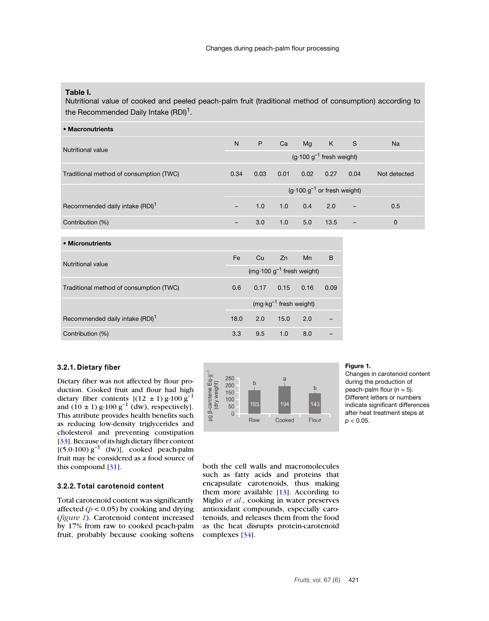# **Table I.**

Nutritional value of cooked and peeled peach-palm fruit (traditional method of consumption) according to the Recommended Daily Intake  $(RDI)^1$ .

| • Macronutrients                            |                                               |      |      |                                        |      |      |              |
|---------------------------------------------|-----------------------------------------------|------|------|----------------------------------------|------|------|--------------|
| Nutritional value                           |                                               | P    | Ca   | Mg                                     | K    | S    | <b>Na</b>    |
|                                             | $(g \cdot 100 g^{-1}$ fresh weight)           |      |      |                                        |      |      |              |
| Traditional method of consumption (TWC)     | 0.34                                          | 0.03 | 0.01 | 0.02                                   | 0.27 | 0.04 | Not detected |
|                                             |                                               |      |      | $(g \cdot 100 g^{-1}$ or fresh weight) |      |      |              |
| Recommended daily intake (RDI) <sup>1</sup> |                                               | 1.0  | 1.0  | 0.4                                    | 2.0  |      | 0.5          |
| Contribution (%)                            | -                                             | 3.0  | 1.0  | 5.0                                    | 13.5 |      | $\mathbf 0$  |
| • Micronutrients                            |                                               |      |      |                                        |      |      |              |
| <b>Nutritional value</b>                    | Fe                                            | Cu   | Zn   | Mn                                     | B    |      |              |
|                                             | (mg $\cdot$ 100 g <sup>-1</sup> fresh weight) |      |      |                                        |      |      |              |
| Traditional method of consumption (TWC)     | 0.6                                           | 0.17 | 0.15 | 0.16                                   | 0.09 |      |              |
|                                             | (mg·kg <sup>-1</sup> fresh weight)            |      |      |                                        |      |      |              |
| Recommended daily intake (RDI) <sup>1</sup> | 18.0                                          | 2.0  | 15.0 | 2.0                                    |      |      |              |

Contribution (%) 3.3 9.5 1.0 8.0 –

#### **3.2.1. Dietary fiber**

Dietary fiber was not affected by flour production. Cooked fruit and flour had high dietary fiber contents  $[(12 \pm 1) \text{ g} \cdot 100 \text{ g}^{-1}]$ and  $(10 \pm 1)$  g·100 g<sup>-1</sup> (dw), respectively]. This attribute provides health benefits such as reducing low-density triglycerides and cholesterol and preventing constipation [\[33\]](#page-11-11). Because of its high dietary fiber content  $[(5.0.100) g<sup>-1</sup> (fw)]$ , cooked peach-palm fruit may be considered as a food source of this compound [[31\]](#page-11-9).

#### **3.2.2. Total carotenoid content**

Total carotenoid content was significantly affected ( $p < 0.05$ ) by cooking and drying (*figure [1](#page-6-0)*). Carotenoid content increased by 17% from raw to cooked peach-palm fruit, probably because cooking softens



#### <span id="page-6-0"></span>**Figure 1.**

Changes in carotenoid content during the production of peach-palm flour  $(n = 5)$ . Different letters or numbers indicate significant differences after heat treatment steps at *p* < 0.05.

both the cell walls and macromolecules such as fatty acids and proteins that encapsulate carotenoids, thus making them more available  $[13]$ . According to Miglio *et al.*, cooking in water preserves antioxidant compounds, especially carotenoids, and releases them from the food as the heat disrupts protein-carotenoid complexes [\[34\]](#page-11-12).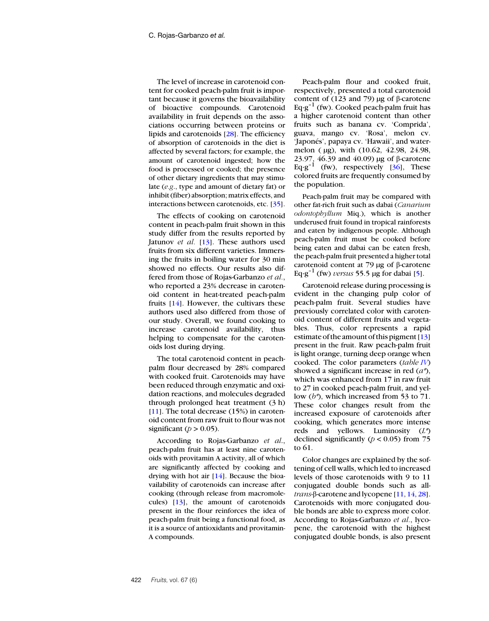The level of increase in carotenoid content for cooked peach-palm fruit is important because it governs the bioavailability of bioactive compounds. Carotenoid availability in fruit depends on the associations occurring between proteins or lipids and carotenoids [\[28\]](#page-11-6). The efficiency of absorption of carotenoids in the diet is affected by several factors; for example, the amount of carotenoid ingested; how the food is processed or cooked; the presence of other dietary ingredients that may stimulate (*e.g*., type and amount of dietary fat) or inhibit (fiber) absorption; matrix effects, and interactions between carotenoids, etc. [\[35\]](#page-11-13).

The effects of cooking on carotenoid content in peach-palm fruit shown in this study differ from the results reported by Jatunov *et al.* [[13\]](#page-10-10). These authors used fruits from six different varieties. Immersing the fruits in boiling water for 30 min showed no effects. Our results also differed from those of Rojas-Garbanzo *et al.*, who reported a 23% decrease in carotenoid content in heat-treated peach-palm fruits [[14\]](#page-10-14). However, the cultivars these authors used also differed from those of our study. Overall, we found cooking to increase carotenoid availability, thus helping to compensate for the carotenoids lost during drying.

The total carotenoid content in peachpalm flour decreased by 28% compared with cooked fruit. Carotenoids may have been reduced through enzymatic and oxidation reactions, and molecules degraded through prolonged heat treatment (3 h) [[11\]](#page-10-8). The total decrease (15%) in carotenoid content from raw fruit to flour was not significant ( $p > 0.05$ ).

According to Rojas-Garbanzo *et al*., peach-palm fruit has at least nine carotenoids with provitamin A activity, all of which are significantly affected by cooking and drying with hot air  $[14]$ . Because the bioavailability of carotenoids can increase after cooking (through release from macromolecules) [\[13\]](#page-10-10), the amount of carotenoids present in the flour reinforces the idea of peach-palm fruit being a functional food, as it is a source of antioxidants and provitamin-A compounds.

Peach-palm flour and cooked fruit, respectively, presented a total carotenoid content of (123 and 79) μg of β-carotene Eq $\cdot$ g<sup>-1</sup> (fw). Cooked peach-palm fruit has a higher carotenoid content than other fruits such as banana cv. 'Comprida', guava, mango cv. 'Rosa', melon cv. 'Japonés', papaya cv. 'Hawaii', and watermelon ( µg), with (10.62, 42.98, 24.98, 23.97, 46.39 and 40.09) µg of β-carotene Eq $\cdot$ g<sup>-1</sup> (fw), respectively [[36\]](#page-11-14), These colored fruits are frequently consumed by the population.

Peach-palm fruit may be compared with other fat-rich fruit such as dabai (*Canarium odontophyllum* Miq.), which is another underused fruit found in tropical rainforests and eaten by indigenous people. Although peach-palm fruit must be cooked before being eaten and dabai can be eaten fresh, the peach-palm fruit presented a higher total carotenoid content at 79 µg of β-carotene Eq·g<sup>-1</sup> (fw) *versus* 55.5 µg for dabai [\[5\]](#page-10-1).

Carotenoid release during processing is evident in the changing pulp color of peach-palm fruit. Several studies have previously correlated color with carotenoid content of different fruits and vegetables. Thus, color represents a rapid estimate of the amount of this pigment [[13\]](#page-10-10) present in the fruit. Raw peach-palm fruit is light orange, turning deep orange when cooked. The color parameters (*table [IV](#page-8-0)*) showed a significant increase in red (*a\**), which was enhanced from 17 in raw fruit to 27 in cooked peach-palm fruit, and yellow (*b\**), which increased from 53 to 71. These color changes result from the increased exposure of carotenoids after cooking, which generates more intense reds and yellows. Luminosity (*L\**) declined significantly ( $p < 0.05$ ) from 75 to 61.

Color changes are explained by the softening of cell walls, which led to increased levels of those carotenoids with 9 to 11 conjugated double bonds such as all*trans*-β-carotene and lycopene [[11,](#page-10-8) [14,](#page-10-14) [28\]](#page-11-6). Carotenoids with more conjugated double bonds are able to express more color. According to Rojas-Garbanzo *et al.*, lycopene, the carotenoid with the highest conjugated double bonds, is also present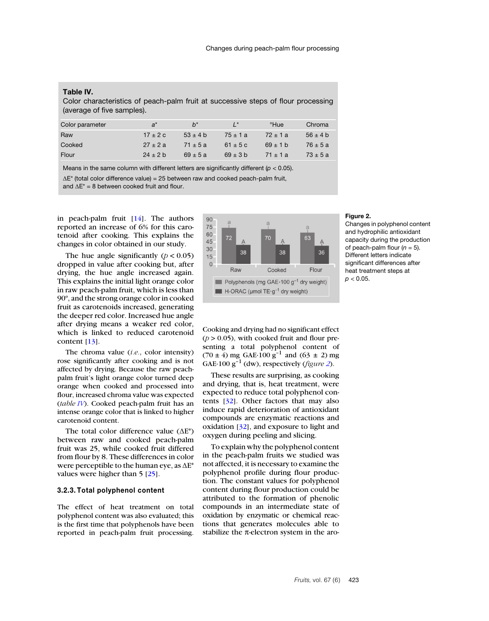#### <span id="page-8-0"></span>**Table IV.**

Color characteristics of peach-palm fruit at successive steps of flour processing (average of five samples).

| Color parameter | $a^*$        | $h^*$        | $\mathsf{I}^*$ | °Hue         | Chroma       |
|-----------------|--------------|--------------|----------------|--------------|--------------|
| Raw             | $17 \pm 2c$  | $53 \pm 4$ b | $75 \pm 1 a$   | $72 \pm 1 a$ | $56 \pm 4$ b |
| Cooked          | $27 \pm 2a$  | $71 \pm 5a$  | $61 \pm 5c$    | $69 \pm 1$ b | $76 \pm 5a$  |
| Flour           | $24 \pm 2 b$ | $69 \pm 5a$  | $69 \pm 3$ b   | $71 \pm 1a$  | $73 \pm 5a$  |

Means in the same column with different letters are significantly different (*p* < 0.05).  $\Delta E^*$  (total color difference value) = 25 between raw and cooked peach-palm fruit,

and  $\Delta E^* = 8$  between cooked fruit and flour.

in peach-palm fruit [\[14\]](#page-10-14). The authors reported an increase of 6% for this carotenoid after cooking. This explains the changes in color obtained in our study.

The hue angle significantly  $(p < 0.05)$ dropped in value after cooking but, after drying, the hue angle increased again. This explains the initial light orange color in raw peach-palm fruit, which is less than 90º, and the strong orange color in cooked fruit as carotenoids increased, generating the deeper red color. Increased hue angle after drying means a weaker red color, which is linked to reduced carotenoid content [[13\]](#page-10-10).

The chroma value (*i.e.*, color intensity) rose significantly after cooking and is not affected by drying. Because the raw peachpalm fruit's light orange color turned deep orange when cooked and processed into flour, increased chroma value was expected (*table [IV](#page-8-0)*). Cooked peach-palm fruit has an intense orange color that is linked to higher carotenoid content.

The total color difference value  $(\Delta E^*)$ between raw and cooked peach-palm fruit was 25, while cooked fruit differed from flour by 8. These differences in color were perceptible to the human eye, as  $\Delta E^*$ values were higher than 5 [\[25\]](#page-11-3).

#### **3.2.3. Total polyphenol content**

The effect of heat treatment on total polyphenol content was also evaluated; this is the first time that polyphenols have been reported in peach-palm fruit processing.



#### <span id="page-8-1"></span>**Figure 2.**

Changes in polyphenol content and hydrophilic antioxidant capacity during the production of peach-palm flour  $(n = 5)$ . Different letters indicate significant differences after heat treatment steps at  $p < 0.05$ .

Cooking and drying had no significant effect  $(p > 0.05)$ , with cooked fruit and flour presenting a total polyphenol content of  $(70 \pm 4)$  mg GAE·100 g<sup>-1</sup> and  $(63 \pm 2)$  mg GAE $\cdot$ 100  $g^{-1}$  (dw), respectively (*figure [2](#page-8-1)*).

These results are surprising, as cooking and drying, that is, heat treatment, were expected to reduce total polyphenol contents [\[32\]](#page-11-10). Other factors that may also induce rapid deterioration of antioxidant compounds are enzymatic reactions and oxidation [[32\]](#page-11-10), and exposure to light and oxygen during peeling and slicing.

To explain why the polyphenol content in the peach-palm fruits we studied was not affected, it is necessary to examine the polyphenol profile during flour production. The constant values for polyphenol content during flour production could be attributed to the formation of phenolic compounds in an intermediate state of oxidation by enzymatic or chemical reactions that generates molecules able to stabilize the  $\pi$ -electron system in the aro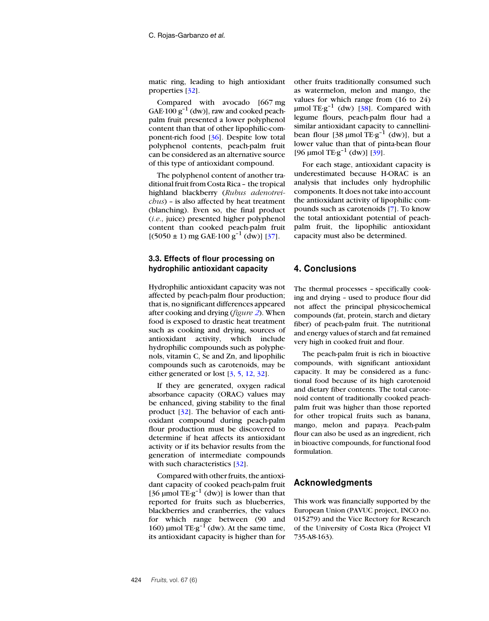matic ring, leading to high antioxidant properties [\[32\]](#page-11-10).

Compared with avocado [667 mg GAE $\cdot$ 100  $g^{-1}$  (dw)], raw and cooked peachpalm fruit presented a lower polyphenol content than that of other lipophilic-component-rich food [[36\]](#page-11-14). Despite low total polyphenol contents, peach-palm fruit can be considered as an alternative source of this type of antioxidant compound.

The polyphenol content of another traditional fruit from Costa Rica – the tropical highland blackberry (*Rubus adenotreichus*) – is also affected by heat treatment (blanching). Even so, the final product (*i.e*., juice) presented higher polyphenol content than cooked peach-palm fruit  $[(5050 \pm 1)$  mg GAE·100 g<sup>-1</sup> (dw)] [\[37\]](#page-11-15).

# **3.3. Effects of flour processing on hydrophilic antioxidant capacity**

Hydrophilic antioxidant capacity was not affected by peach-palm flour production; that is, no significant differences appeared after cooking and drying (*figure [2](#page-8-1)*). When food is exposed to drastic heat treatment such as cooking and drying, sources of antioxidant activity, which include hydrophilic compounds such as polyphenols, vitamin C, Se and Zn, and lipophilic compounds such as carotenoids, may be either generated or lost [\[3](#page-10-2), [5](#page-10-1), [12,](#page-10-9) [32\]](#page-11-10).

If they are generated, oxygen radical absorbance capacity (ORAC) values may be enhanced, giving stability to the final product [\[32](#page-11-10)]. The behavior of each antioxidant compound during peach-palm flour production must be discovered to determine if heat affects its antioxidant activity or if its behavior results from the generation of intermediate compounds with such characteristics [\[32\]](#page-11-10).

Compared with other fruits, the antioxidant capacity of cooked peach-palm fruit [36  $\mu$ mol TE·g<sup>-1</sup> (dw)] is lower than that reported for fruits such as blueberries, blackberries and cranberries, the values for which range between (90 and 160) µmol  $TE \cdot g^{-1}$  (dw). At the same time, its antioxidant capacity is higher than for other fruits traditionally consumed such as watermelon, melon and mango, the values for which range from (16 to 24)  $\mu$ mol TE·g<sup>-1</sup> (dw) [\[38\]](#page-11-16). Compared with legume flours, peach-palm flour had a similar antioxidant capacity to cannellinibean flour [38  $\mu$ mol TE·g<sup>-1</sup> (dw)], but a lower value than that of pinta-bean flour [96  $\mu$ mol TE·g<sup>-1</sup> (dw)] [[39\]](#page-11-17).

For each stage, antioxidant capacity is underestimated because H-ORAC is an analysis that includes only hydrophilic components. It does not take into account the antioxidant activity of lipophilic compounds such as carotenoids [\[7\]](#page-10-4). To know the total antioxidant potential of peachpalm fruit, the lipophilic antioxidant capacity must also be determined.

# **4. Conclusions**

The thermal processes – specifically cooking and drying – used to produce flour did not affect the principal physicochemical compounds (fat, protein, starch and dietary fiber) of peach-palm fruit. The nutritional and energy values of starch and fat remained very high in cooked fruit and flour.

The peach-palm fruit is rich in bioactive compounds, with significant antioxidant capacity. It may be considered as a functional food because of its high carotenoid and dietary fiber contents. The total carotenoid content of traditionally cooked peachpalm fruit was higher than those reported for other tropical fruits such as banana, mango, melon and papaya. Peach-palm flour can also be used as an ingredient, rich in bioactive compounds, for functional food formulation.

# **Acknowledgments**

This work was financially supported by the European Union (PAVUC project, INCO no. 015279) and the Vice Rectory for Research of the University of Costa Rica (Project VI 735-A8-163).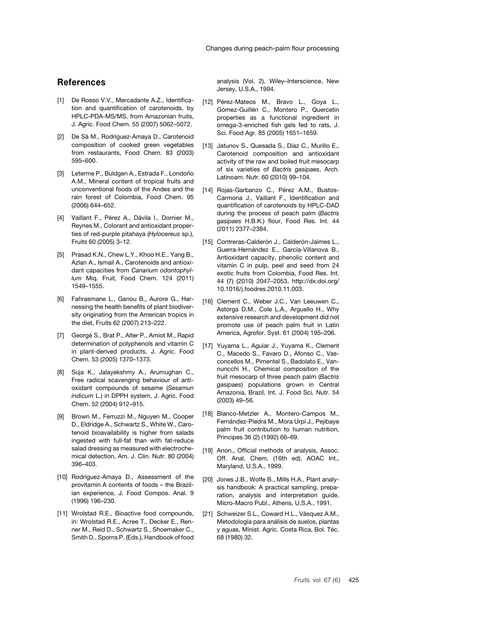# **References**

- <span id="page-10-0"></span>[1] De Rosso V.V., Mercadante A.Z., Identification and quantification of carotenoids, by HPLC-PDA-MS/MS, from Amazonian fruits, J. Agric. Food Chem. 55 (2007) 5062–5072.
- <span id="page-10-19"></span>[2] De Sá M., Rodríguez-Amaya D., Carotenoid composition of cooked green vegetables from restaurants, Food Chem. 83 (2003) 595–600.
- <span id="page-10-2"></span>[3] Leterme P., Buldgen A., Estrada F., Londoño A.M., Mineral content of tropical fruits and unconventional foods of the Andes and the rain forest of Colombia, Food Chem. 95 (2006) 644–652.
- [4] Vaillant F., Pérez A., Dávila I., Dornier M., Reynes M., Colorant and antioxidant properties of red-purple pitahaya (*Hylocereus* sp.), Fruits 60 (2005) 3–12.
- <span id="page-10-1"></span>[5] Prasad K.N., Chew L.Y., Khoo H.E., Yang B., Azlan A., Ismail A., Carotenoids and antioxidant capacities from *Canarium odontophyllum* Miq. Fruit, Food Chem. 124 (2011) 1549–1555.
- <span id="page-10-3"></span>[6] Fahrasmane L., Ganou B., Aurore G., Harnessing the health benefits of plant biodiversity originating from the American tropics in the diet, Fruits 62 (2007) 213–222.
- <span id="page-10-4"></span>[7] Georgé S., Brat P., Alter P., Amiot M., Rapid determination of polyphenols and vitamin C in plant-derived products, J. Agric. Food Chem. 53 (2005) 1370–1373.
- <span id="page-10-5"></span>[8] Suja K., Jalayekshmy A., Arumughan C., Free radical scavenging behaviour of antioxidant compounds of sesame (*Sesamun indicum* L.) in DPPH system, J. Agric. Food Chem. 52 (2004) 912–915.
- <span id="page-10-6"></span>[9] Brown M., Ferruzzi M., Nguyen M., Cooper D., Eldridge A., Schwartz S., White W., Carotenoid bioavailability is higher from salads ingested with full-fat than with fat-reduce salad dressing as measured with electrochemical detection, Am. J. Clin. Nutr. 80 (2004) 396–403.
- <span id="page-10-7"></span>[10] Rodríguez-Amaya D., Assessment of the provitamin A contents of foods – the Brazilian experience, J. Food Compos. Anal. 9 (1996) 196–230.
- <span id="page-10-8"></span>[11] Wrolstad R.E., Bioactive food compounds, in: Wrolstad R.E., Acree T., Decker E., Renner M., Reid D., Schwartz S., Shoemaker C., Smith D., Sporns P. (Eds.), Handbook of food

analysis (Vol. 2), Wiley–Interscience, New Jersey, U.S.A., 1994.

- <span id="page-10-9"></span>[12] Pérez-Mateos M., Bravo L., Goya L., Gómez-Guillén C., Montero P., Quercetin properties as a functional ingredient in omega-3-enriched fish gels fed to rats, J. Sci. Food Agr. 85 (2005) 1651–1659.
- <span id="page-10-10"></span>[13] Jatunov S., Quesada S., Díaz C., Murillo E., Carotenoid composition and antioxidant activity of the raw and boiled fruit mesocarp of six varieties of *Bactris gasipaes*, Arch. Latinoam. Nutr. 60 (2010) 99–104.
- <span id="page-10-14"></span>[14] Rojas-Garbanzo C., Pérez A.M., Bustos-Carmona J., Vaillant F., Identification and quantification of carotenoids by HPLC-DAD during the process of peach palm (*Bactris gasipaes* H.B.K.) flour, Food Res. Int. 44 (2011) 2377–2384.
- <span id="page-10-11"></span>[15] Contreras-Calderón J., Calderón-Jaimes L., Guerra-Hernández E., García-Villanova B., Antioxidant capacity, phenolic content and vitamin C in pulp, peel and seed from 24 exotic fruits from Colombia, Food Res. Int. 44 (7) (2010) 2047–2053, http://dx.doi.org/ 10.1016/j.foodres.2010.11.003.
- <span id="page-10-12"></span>[16] Clement C., Weber J.C., Van Leeuwen C., Astorga D.M., Cole L.A., Arguello H., Why extensive research and development did not promote use of peach palm fruit in Latin America, Agrofor. Syst. 61 (2004) 195–206.
- <span id="page-10-13"></span>[17] Yuyama L., Aguiar J., Yuyama K., Clement C., Macedo S., Favaro D., Afonso C., Vasconcellos M., Pimentel S., Badolato E., Vannuncchi H., Chemical composition of the fruit mesocarp of three peach palm (*Bactris gasipaes*) populations grown in Central Amazonia, Brazil, Int. J. Food Sci. Nutr. 54 (2003) 49–56.
- <span id="page-10-15"></span>[18] Blanco-Metzler A., Montero-Campos M., Fernández-Piedra M., Mora Urpí J., Pejibaye palm fruit contribution to human nutrition, Principes 36 (2) (1992) 66–69.
- <span id="page-10-16"></span>[19] Anon., Official methods of analysis, Assoc. Off. Anal. Chem. (16th ed), AOAC Int., Maryland, U.S.A., 1999.
- <span id="page-10-17"></span>[20] Jones J.B., Wolfe B., Mills H.A., Plant analysis handbook: A practical sampling, preparation, analysis and interpretation guide, Micro-Macro Publ., Athens, U.S.A., 1991.
- <span id="page-10-18"></span>[21] Schweizer S.L., Coward H.L., Vásquez A.M., Metodología para análisis de suelos, plantas y aguas, Minist. Agric. Costa Rica, Bol. Téc. 68 (1980) 32.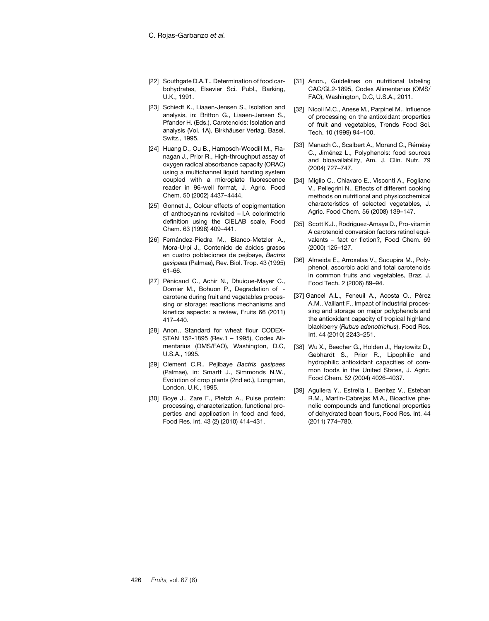- <span id="page-11-0"></span>[22] Southgate D.A.T., Determination of food carbohydrates, Elsevier Sci. Publ., Barking, U.K., 1991.
- <span id="page-11-1"></span>[23] Schiedt K., Liaaen-Jensen S., Isolation and analysis, in: Britton G., Liaaen-Jensen S., Pfander H. (Eds.), Carotenoids: Isolation and analysis (Vol. 1A), Birkhäuser Verlag, Basel, Switz., 1995.
- <span id="page-11-2"></span>[24] Huang D., Ou B., Hampsch-Woodill M., Flanagan J., Prior R., High-throughput assay of oxygen radical absorbance capacity (ORAC) using a multichannel liquid handing system coupled with a microplate fluorescence reader in 96-well format, J. Agric. Food Chem. 50 (2002) 4437–4444.
- <span id="page-11-3"></span>[25] Gonnet J., Colour effects of copigmentation of anthocyanins revisited – I.A colorimetric definition using the CIELAB scale, Food Chem. 63 (1998) 409–441.
- <span id="page-11-4"></span>[26] Fernández-Piedra M., Blanco-Metzler A., Mora-Urpí J., Contenido de ácidos grasos en cuatro poblaciones de pejibaye, *Bactris gasipaes* (Palmae), Rev. Biol. Trop. 43 (1995) 61–66.
- <span id="page-11-5"></span>[27] Pénicaud C., Achir N., Dhuique-Mayer C., Dornier M., Bohuon P., Degradation of carotene during fruit and vegetables processing or storage: reactions mechanisms and kinetics aspects: a review, Fruits 66 (2011) 417–440.
- <span id="page-11-6"></span>[28] Anon., Standard for wheat flour CODEX-STAN 152-1895 (Rev.1 – 1995), Codex Alimentarius (OMS/FAO), Washington, D.C, U.S.A., 1995.
- <span id="page-11-7"></span>[29] Clement C.R., Pejibaye *Bactris gasipaes* (Palmae), in: Smartt J., Simmonds N.W., Evolution of crop plants (2nd ed.), Longman, London, U.K., 1995.
- <span id="page-11-8"></span>[30] Boye J., Zare F., Pletch A., Pulse protein: processing, characterization, functional properties and application in food and feed, Food Res. Int. 43 (2) (2010) 414–431.
- <span id="page-11-9"></span>[31] Anon., Guidelines on nutritional labeling CAC/GL2-1895, Codex Alimentarius (OMS/ FAO), Washington, D.C, U.S.A., 2011.
- <span id="page-11-10"></span>[32] Nicoli M.C., Anese M., Parpinel M., Influence of processing on the antioxidant properties of fruit and vegetables, Trends Food Sci. Tech. 10 (1999) 94–100.
- <span id="page-11-11"></span>[33] Manach C., Scalbert A., Morand C., Rémésy C., Jiménez L., Polyphenols: food sources and bioavailability, Am. J. Clin. Nutr. 79 (2004) 727–747.
- <span id="page-11-12"></span>[34] Miglio C., Chiavaro E., Visconti A., Fogliano V., Pellegrini N., Effects of different cooking methods on nutritional and physicochemical characteristics of selected vegetables, J. Agric. Food Chem. 56 (2008) 139–147.
- <span id="page-11-13"></span>[35] Scott K.J., Rodríguez-Amaya D., Pro-vitamin A carotenoid conversion factors retinol equivalents – fact or fiction?, Food Chem. 69 (2000) 125–127.
- <span id="page-11-14"></span>[36] Almeida E., Arroxelas V., Sucupira M., Polyphenol, ascorbic acid and total carotenoids in common fruits and vegetables, Braz. J. Food Tech. 2 (2006) 89–94.
- <span id="page-11-15"></span>[37] Gancel A.L., Feneuil A., Acosta O., Pérez A.M., Vaillant F., Impact of industrial processing and storage on major polyphenols and the antioxidant capacity of tropical highland blackberry (*Rubus adenotrichus*), Food Res. Int. 44 (2010) 2243–251.
- <span id="page-11-16"></span>[38] Wu X., Beecher G., Holden J., Haytowitz D., Gebhardt S., Prior R., Lipophilic and hydrophilic antioxidant capacities of common foods in the United States, J. Agric. Food Chem. 52 (2004) 4026–4037.
- <span id="page-11-17"></span>[39] Aguilera Y., Estrella I., Benítez V., Esteban R.M., Martín-Cabrejas M.A., Bioactive phenolic compounds and functional properties of dehydrated bean flours, Food Res. Int. 44 (2011) 774–780.